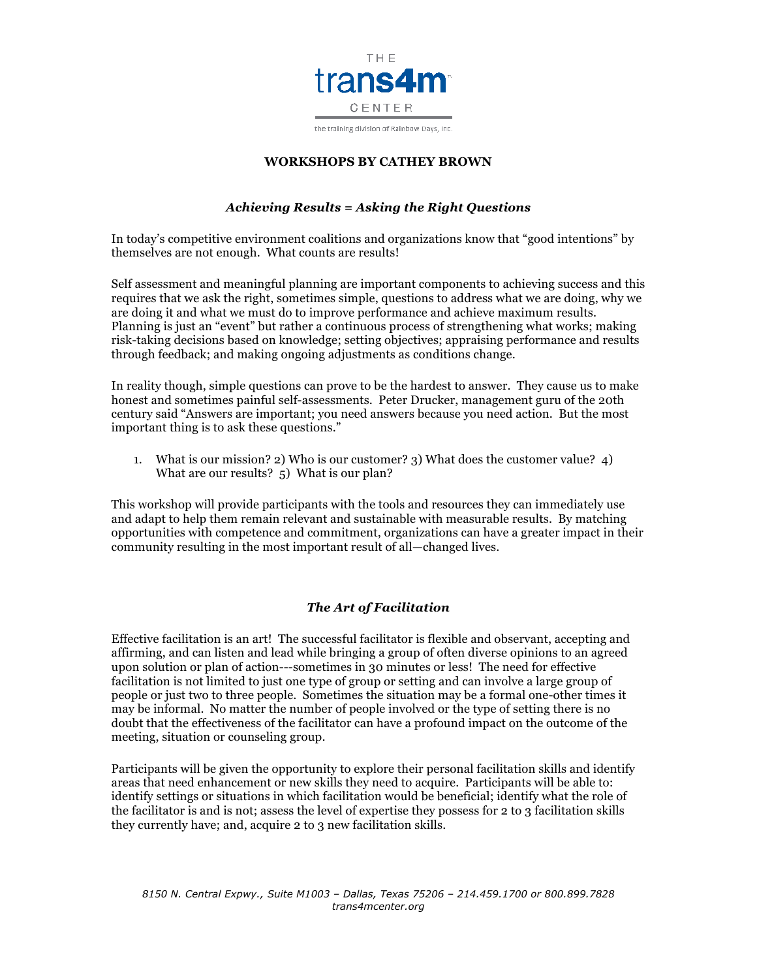

the training division of Rainbow Days, Inc.

#### **WORKSHOPS BY CATHEY BROWN**

# *Achieving Results = Asking the Right Questions*

In today's competitive environment coalitions and organizations know that "good intentions" by themselves are not enough. What counts are results!

Self assessment and meaningful planning are important components to achieving success and this requires that we ask the right, sometimes simple, questions to address what we are doing, why we are doing it and what we must do to improve performance and achieve maximum results. Planning is just an "event" but rather a continuous process of strengthening what works; making risk-taking decisions based on knowledge; setting objectives; appraising performance and results through feedback; and making ongoing adjustments as conditions change.

In reality though, simple questions can prove to be the hardest to answer. They cause us to make honest and sometimes painful self-assessments. Peter Drucker, management guru of the 20th century said "Answers are important; you need answers because you need action. But the most important thing is to ask these questions."

1. What is our mission? 2) Who is our customer? 3) What does the customer value? 4) What are our results? 5) What is our plan?

This workshop will provide participants with the tools and resources they can immediately use and adapt to help them remain relevant and sustainable with measurable results. By matching opportunities with competence and commitment, organizations can have a greater impact in their community resulting in the most important result of all—changed lives.

## *The Art of Facilitation*

Effective facilitation is an art! The successful facilitator is flexible and observant, accepting and affirming, and can listen and lead while bringing a group of often diverse opinions to an agreed upon solution or plan of action---sometimes in 30 minutes or less! The need for effective facilitation is not limited to just one type of group or setting and can involve a large group of people or just two to three people. Sometimes the situation may be a formal one-other times it may be informal. No matter the number of people involved or the type of setting there is no doubt that the effectiveness of the facilitator can have a profound impact on the outcome of the meeting, situation or counseling group.

Participants will be given the opportunity to explore their personal facilitation skills and identify areas that need enhancement or new skills they need to acquire. Participants will be able to: identify settings or situations in which facilitation would be beneficial; identify what the role of the facilitator is and is not; assess the level of expertise they possess for 2 to 3 facilitation skills they currently have; and, acquire 2 to 3 new facilitation skills.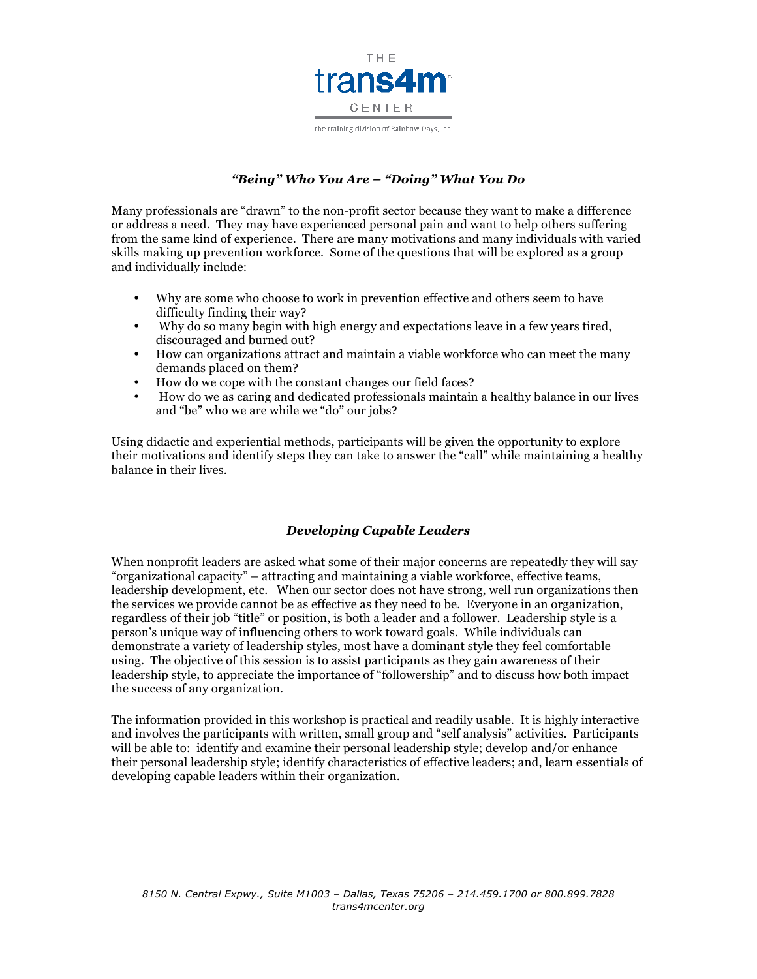

# *"Being" Who You Are – "Doing" What You Do*

Many professionals are "drawn" to the non-profit sector because they want to make a difference or address a need. They may have experienced personal pain and want to help others suffering from the same kind of experience. There are many motivations and many individuals with varied skills making up prevention workforce. Some of the questions that will be explored as a group and individually include:

- Why are some who choose to work in prevention effective and others seem to have difficulty finding their way?
- Why do so many begin with high energy and expectations leave in a few years tired, discouraged and burned out?
- How can organizations attract and maintain a viable workforce who can meet the many demands placed on them?
- How do we cope with the constant changes our field faces?
- How do we as caring and dedicated professionals maintain a healthy balance in our lives and "be" who we are while we "do" our jobs?

Using didactic and experiential methods, participants will be given the opportunity to explore their motivations and identify steps they can take to answer the "call" while maintaining a healthy balance in their lives.

#### *Developing Capable Leaders*

When nonprofit leaders are asked what some of their major concerns are repeatedly they will say "organizational capacity" – attracting and maintaining a viable workforce, effective teams, leadership development, etc. When our sector does not have strong, well run organizations then the services we provide cannot be as effective as they need to be. Everyone in an organization, regardless of their job "title" or position, is both a leader and a follower. Leadership style is a person's unique way of influencing others to work toward goals. While individuals can demonstrate a variety of leadership styles, most have a dominant style they feel comfortable using. The objective of this session is to assist participants as they gain awareness of their leadership style, to appreciate the importance of "followership" and to discuss how both impact the success of any organization.

The information provided in this workshop is practical and readily usable. It is highly interactive and involves the participants with written, small group and "self analysis" activities. Participants will be able to: identify and examine their personal leadership style; develop and/or enhance their personal leadership style; identify characteristics of effective leaders; and, learn essentials of developing capable leaders within their organization.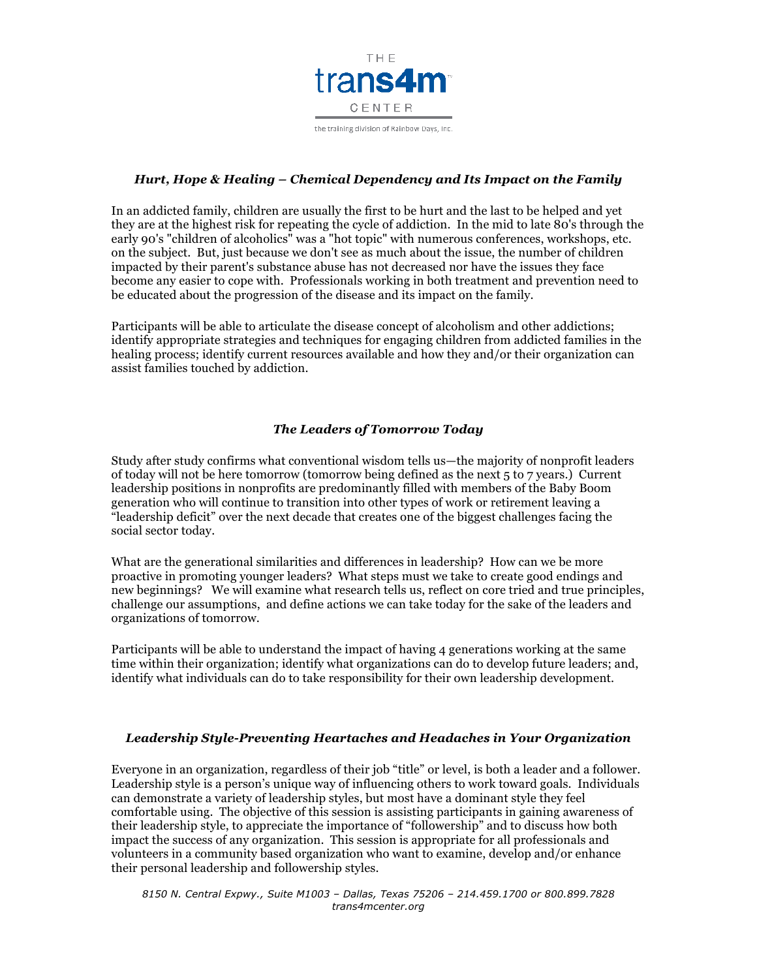

#### *Hurt, Hope & Healing – Chemical Dependency and Its Impact on the Family*

In an addicted family, children are usually the first to be hurt and the last to be helped and yet they are at the highest risk for repeating the cycle of addiction. In the mid to late 80's through the early 90's "children of alcoholics" was a "hot topic" with numerous conferences, workshops, etc. on the subject. But, just because we don't see as much about the issue, the number of children impacted by their parent's substance abuse has not decreased nor have the issues they face become any easier to cope with. Professionals working in both treatment and prevention need to be educated about the progression of the disease and its impact on the family.

Participants will be able to articulate the disease concept of alcoholism and other addictions; identify appropriate strategies and techniques for engaging children from addicted families in the healing process; identify current resources available and how they and/or their organization can assist families touched by addiction.

## *The Leaders of Tomorrow Today*

Study after study confirms what conventional wisdom tells us—the majority of nonprofit leaders of today will not be here tomorrow (tomorrow being defined as the next 5 to 7 years.) Current leadership positions in nonprofits are predominantly filled with members of the Baby Boom generation who will continue to transition into other types of work or retirement leaving a "leadership deficit" over the next decade that creates one of the biggest challenges facing the social sector today.

What are the generational similarities and differences in leadership? How can we be more proactive in promoting younger leaders? What steps must we take to create good endings and new beginnings? We will examine what research tells us, reflect on core tried and true principles, challenge our assumptions, and define actions we can take today for the sake of the leaders and organizations of tomorrow.

Participants will be able to understand the impact of having 4 generations working at the same time within their organization; identify what organizations can do to develop future leaders; and, identify what individuals can do to take responsibility for their own leadership development.

#### *Leadership Style-Preventing Heartaches and Headaches in Your Organization*

Everyone in an organization, regardless of their job "title" or level, is both a leader and a follower. Leadership style is a person's unique way of influencing others to work toward goals. Individuals can demonstrate a variety of leadership styles, but most have a dominant style they feel comfortable using. The objective of this session is assisting participants in gaining awareness of their leadership style, to appreciate the importance of "followership" and to discuss how both impact the success of any organization. This session is appropriate for all professionals and volunteers in a community based organization who want to examine, develop and/or enhance their personal leadership and followership styles.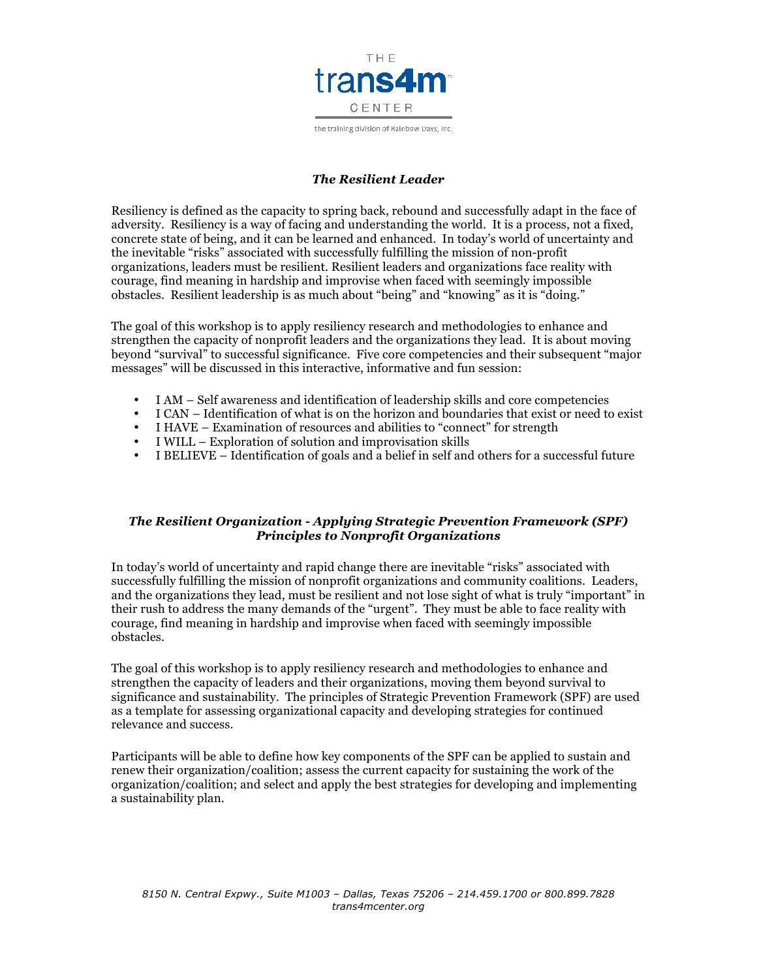

the training division of Rainbow Days, Inc.

## *The Resilient Leader*

Resiliency is defined as the capacity to spring back, rebound and successfully adapt in the face of adversity. Resiliency is a way of facing and understanding the world. It is a process, not a fixed, concrete state of being, and it can be learned and enhanced. In today's world of uncertainty and the inevitable "risks" associated with successfully fulfilling the mission of non-profit organizations, leaders must be resilient. Resilient leaders and organizations face reality with courage, find meaning in hardship and improvise when faced with seemingly impossible obstacles. Resilient leadership is as much about "being" and "knowing" as it is "doing."

The goal of this workshop is to apply resiliency research and methodologies to enhance and strengthen the capacity of nonprofit leaders and the organizations they lead. It is about moving beyond "survival" to successful significance. Five core competencies and their subsequent "major messages" will be discussed in this interactive, informative and fun session:

- I AM Self awareness and identification of leadership skills and core competencies
- I CAN Identification of what is on the horizon and boundaries that exist or need to exist
- I HAVE Examination of resources and abilities to "connect" for strength
- I WILL Exploration of solution and improvisation skills
- I BELIEVE Identification of goals and a belief in self and others for a successful future

### *The Resilient Organization - Applying Strategic Prevention Framework (SPF) Principles to Nonprofit Organizations*

In today's world of uncertainty and rapid change there are inevitable "risks" associated with successfully fulfilling the mission of nonprofit organizations and community coalitions. Leaders, and the organizations they lead, must be resilient and not lose sight of what is truly "important" in their rush to address the many demands of the "urgent". They must be able to face reality with courage, find meaning in hardship and improvise when faced with seemingly impossible obstacles.

The goal of this workshop is to apply resiliency research and methodologies to enhance and strengthen the capacity of leaders and their organizations, moving them beyond survival to significance and sustainability. The principles of Strategic Prevention Framework (SPF) are used as a template for assessing organizational capacity and developing strategies for continued relevance and success.

Participants will be able to define how key components of the SPF can be applied to sustain and renew their organization/coalition; assess the current capacity for sustaining the work of the organization/coalition; and select and apply the best strategies for developing and implementing a sustainability plan.